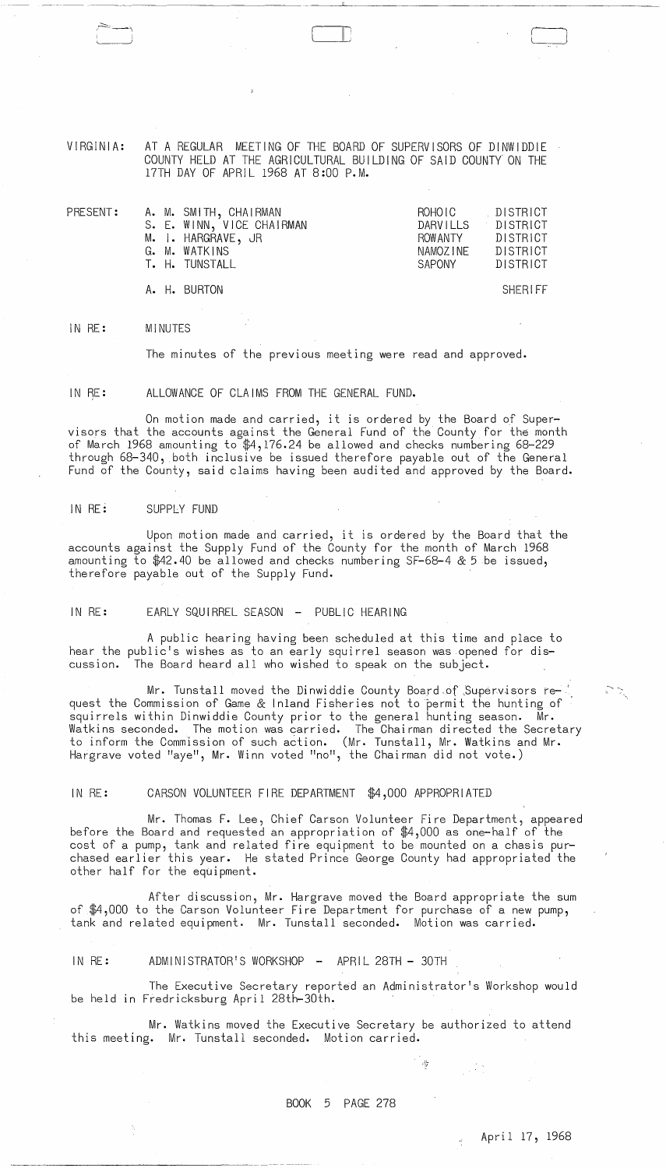VIRGINIA: AT A REGULAR MEETING OF THE BOARD OF SUPERVISORS OF DINWIDDIE COUNTY HELD AT THE AGRICULTURAL BUILDING OF SAID COUNTY ON THE 17TH DAY OF APRIL 1968 AT 8:00 P.M.

| PRESENT: |  | A. M. SMITH, CHAIRMAN     | ROHOIC   | DISTRICT       |
|----------|--|---------------------------|----------|----------------|
|          |  | S. E. WINN, VICE CHAIRMAN | DARVILLS | DISTRICT –     |
|          |  | M. I. HARGRAVE, JR        | ROW ANTY | DISTRICT       |
|          |  | G. M. WATKINS             | NAMOZINE | DISTRICT       |
|          |  | T. H. TUNSTALL            | SAPONY   | DISTRICT       |
|          |  | A. H. BURTON              |          | <b>SHERIFF</b> |

IN RE: MINUTES

------- --------------- ---

The minutes of the previous meeting were read and approved.

IN RE: ALLOWANCE OF CLAIMS FROM THE GENERAL FUND.

On motion made and carried, it is ordered by the Board of Supervisors that the accounts against the General Fund of the County for the month of March 1968 amounting to \$4,176.24 be allowed and checks numbering 68-229 through 68-340, both inclusive be issued therefore payable out of the General Fund of the County, said claims having been audited and approved by the Board.

## IN RE: SUPPLY FUND

Upon motion made and carried, it is ordered by the Board that the accounts against the Supply Fund of the County for the month of March 1968 amounting to \$42.40 be allowed and checks numbering SF-68-4 & 5 be issued, therefore payable out of the Supply Fund.

IN RE: EARLY SQUIRREL SEASON - PUBLIC HEARING

A public hearing having been scheduled at this time and place to hear the public's wishes as to an early squirrel season was opened for discussion. The Board heard all who wished to speak on the subject.

Mr. Tunstall moved the Dinwiddie County Board of Supervisors request the Commission of Game & Inland Fisheries not to permit the hunting of squirrels within Dinwiddie County prior to the general hunting season. Mr. Watkins seconded. The motion was carried. The Chairman directed the Secretary to inform the Commission of such action. (Mr. Tunstall, Mr. Watkins and Mr. Hargrave voted "aye", Mr. Winn voted "no", the Chairman did not vote.)

## IN RE: CARSON VOLUNTEER FIRE DEPARTMENT \$4,000 APPROPRIATED

Mr. Thomas F. Lee, Chief Carson Volunteer Fire Department, appeared before the Board and requested an appropriation of \$4,000 as one-half of the cost of a pump, tank and related fire equipment to be mounted on a chasis purchased earlier this year. He stated Prince George County had appropriated the other half for the equipment.

After discussion, Mr. Hargrave moved the Board appropriate the sum of \$4,000 to the Carson Volunteer Fire Department for purchase of a new pump, tank and related equipment. Mr. Tunstall seconded. Motion was carried.

IN RE: ADMINISTRATOR'S WORKSHOP - APRIL 28TH - 30TH

The Executive Secretary reported an Administrator's Workshop would be held In Fredricksburg April 28th-30th.

Mr. Watkins moved the Executive Secretary be authorized to attend this meeting. Mr. Tunstall seconded. Motion carried.

 $\frac{1}{2}$  ,  $\frac{1}{2}$  ,  $\frac{1}{2}$